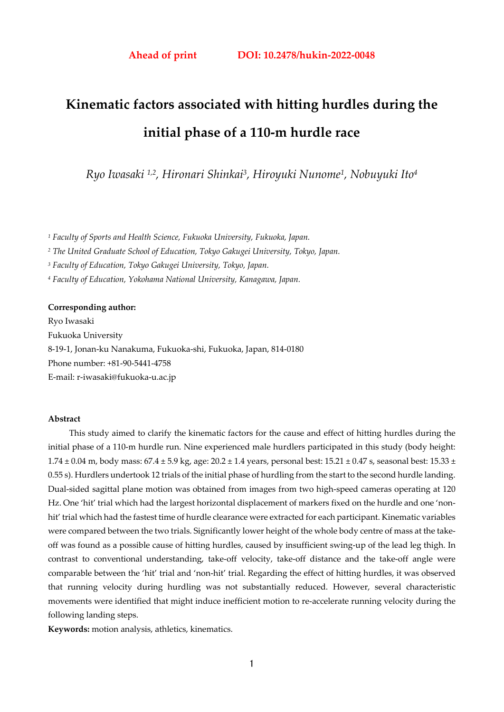# **Kinematic factors associated with hitting hurdles during the initial phase of a 110-m hurdle race**

*Ryo Iwasaki 1,2, Hironari Shinkai3, Hiroyuki Nunome1, Nobuyuki Ito4* 

*1 Faculty of Sports and Health Science, Fukuoka University, Fukuoka, Japan.* 

*2 The United Graduate School of Education, Tokyo Gakugei University, Tokyo, Japan.* 

*3 Faculty of Education, Tokyo Gakugei University, Tokyo, Japan.* 

*4 Faculty of Education, Yokohama National University, Kanagawa, Japan.* 

#### **Corresponding author:**

Ryo Iwasaki Fukuoka University 8-19-1, Jonan-ku Nanakuma, Fukuoka-shi, Fukuoka, Japan, 814-0180 Phone number: +81-90-5441-4758 E-mail: r-iwasaki@fukuoka-u.ac.jp

#### **Abstract**

This study aimed to clarify the kinematic factors for the cause and effect of hitting hurdles during the initial phase of a 110-m hurdle run. Nine experienced male hurdlers participated in this study (body height:  $1.74 \pm 0.04$  m, body mass:  $67.4 \pm 5.9$  kg, age:  $20.2 \pm 1.4$  years, personal best:  $15.21 \pm 0.47$  s, seasonal best:  $15.33 \pm 0.47$ 0.55 s). Hurdlers undertook 12 trials of the initial phase of hurdling from the start to the second hurdle landing. Dual-sided sagittal plane motion was obtained from images from two high-speed cameras operating at 120 Hz. One 'hit' trial which had the largest horizontal displacement of markers fixed on the hurdle and one 'nonhit' trial which had the fastest time of hurdle clearance were extracted for each participant. Kinematic variables were compared between the two trials. Significantly lower height of the whole body centre of mass at the takeoff was found as a possible cause of hitting hurdles, caused by insufficient swing-up of the lead leg thigh. In contrast to conventional understanding, take-off velocity, take-off distance and the take-off angle were comparable between the 'hit' trial and 'non-hit' trial. Regarding the effect of hitting hurdles, it was observed that running velocity during hurdling was not substantially reduced. However, several characteristic movements were identified that might induce inefficient motion to re-accelerate running velocity during the following landing steps.

**Keywords:** motion analysis, athletics, kinematics.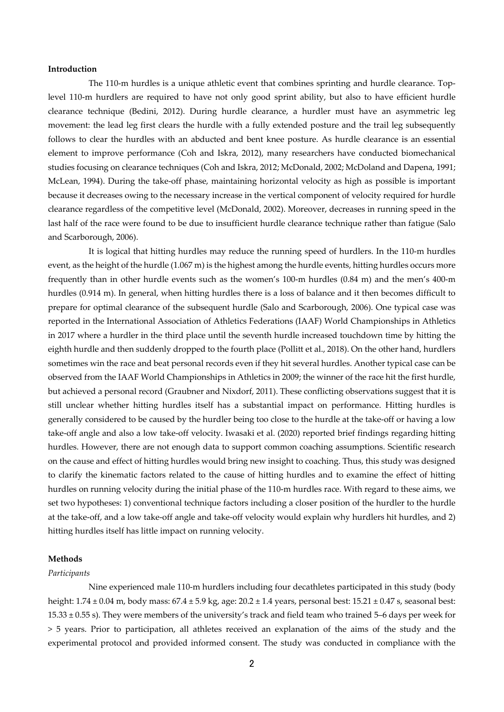#### **Introduction**

The 110-m hurdles is a unique athletic event that combines sprinting and hurdle clearance. Toplevel 110-m hurdlers are required to have not only good sprint ability, but also to have efficient hurdle clearance technique (Bedini, 2012). During hurdle clearance, a hurdler must have an asymmetric leg movement: the lead leg first clears the hurdle with a fully extended posture and the trail leg subsequently follows to clear the hurdles with an abducted and bent knee posture. As hurdle clearance is an essential element to improve performance (Coh and Iskra, 2012), many researchers have conducted biomechanical studies focusing on clearance techniques (Coh and Iskra, 2012; McDonald, 2002; McDoland and Dapena, 1991; McLean, 1994). During the take-off phase, maintaining horizontal velocity as high as possible is important because it decreases owing to the necessary increase in the vertical component of velocity required for hurdle clearance regardless of the competitive level (McDonald, 2002). Moreover, decreases in running speed in the last half of the race were found to be due to insufficient hurdle clearance technique rather than fatigue (Salo and Scarborough, 2006).

It is logical that hitting hurdles may reduce the running speed of hurdlers. In the 110-m hurdles event, as the height of the hurdle (1.067 m) is the highest among the hurdle events, hitting hurdles occurs more frequently than in other hurdle events such as the women's 100-m hurdles (0.84 m) and the men's 400-m hurdles (0.914 m). In general, when hitting hurdles there is a loss of balance and it then becomes difficult to prepare for optimal clearance of the subsequent hurdle (Salo and Scarborough, 2006). One typical case was reported in the International Association of Athletics Federations (IAAF) World Championships in Athletics in 2017 where a hurdler in the third place until the seventh hurdle increased touchdown time by hitting the eighth hurdle and then suddenly dropped to the fourth place (Pollitt et al., 2018). On the other hand, hurdlers sometimes win the race and beat personal records even if they hit several hurdles. Another typical case can be observed from the IAAF World Championships in Athletics in 2009; the winner of the race hit the first hurdle, but achieved a personal record (Graubner and Nixdorf, 2011). These conflicting observations suggest that it is still unclear whether hitting hurdles itself has a substantial impact on performance. Hitting hurdles is generally considered to be caused by the hurdler being too close to the hurdle at the take-off or having a low take-off angle and also a low take-off velocity. Iwasaki et al. (2020) reported brief findings regarding hitting hurdles. However, there are not enough data to support common coaching assumptions. Scientific research on the cause and effect of hitting hurdles would bring new insight to coaching. Thus, this study was designed to clarify the kinematic factors related to the cause of hitting hurdles and to examine the effect of hitting hurdles on running velocity during the initial phase of the 110-m hurdles race. With regard to these aims, we set two hypotheses: 1) conventional technique factors including a closer position of the hurdler to the hurdle at the take-off, and a low take-off angle and take-off velocity would explain why hurdlers hit hurdles, and 2) hitting hurdles itself has little impact on running velocity.

#### **Methods**

#### *Participants*

Nine experienced male 110-m hurdlers including four decathletes participated in this study (body height: 1.74 ± 0.04 m, body mass: 67.4 ± 5.9 kg, age: 20.2 ± 1.4 years, personal best: 15.21 ± 0.47 s, seasonal best: 15.33 ± 0.55 s). They were members of the university's track and field team who trained 5–6 days per week for > 5 years. Prior to participation, all athletes received an explanation of the aims of the study and the experimental protocol and provided informed consent. The study was conducted in compliance with the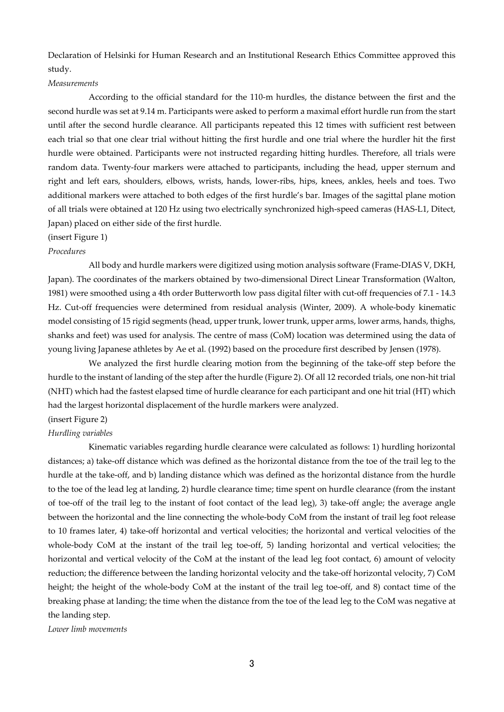Declaration of Helsinki for Human Research and an Institutional Research Ethics Committee approved this study.

#### *Measurements*

According to the official standard for the 110-m hurdles, the distance between the first and the second hurdle was set at 9.14 m. Participants were asked to perform a maximal effort hurdle run from the start until after the second hurdle clearance. All participants repeated this 12 times with sufficient rest between each trial so that one clear trial without hitting the first hurdle and one trial where the hurdler hit the first hurdle were obtained. Participants were not instructed regarding hitting hurdles. Therefore, all trials were random data. Twenty-four markers were attached to participants, including the head, upper sternum and right and left ears, shoulders, elbows, wrists, hands, lower-ribs, hips, knees, ankles, heels and toes. Two additional markers were attached to both edges of the first hurdle's bar. Images of the sagittal plane motion of all trials were obtained at 120 Hz using two electrically synchronized high-speed cameras (HAS-L1, Ditect, Japan) placed on either side of the first hurdle.

#### (insert Figure 1)

#### *Procedures*

All body and hurdle markers were digitized using motion analysis software (Frame-DIAS V, DKH, Japan). The coordinates of the markers obtained by two-dimensional Direct Linear Transformation (Walton, 1981) were smoothed using a 4th order Butterworth low pass digital filter with cut-off frequencies of 7.1 - 14.3 Hz. Cut-off frequencies were determined from residual analysis (Winter, 2009). A whole-body kinematic model consisting of 15 rigid segments (head, upper trunk, lower trunk, upper arms, lower arms, hands, thighs, shanks and feet) was used for analysis. The centre of mass (CoM) location was determined using the data of young living Japanese athletes by Ae et al. (1992) based on the procedure first described by Jensen (1978).

We analyzed the first hurdle clearing motion from the beginning of the take-off step before the hurdle to the instant of landing of the step after the hurdle (Figure 2). Of all 12 recorded trials, one non-hit trial (NHT) which had the fastest elapsed time of hurdle clearance for each participant and one hit trial (HT) which had the largest horizontal displacement of the hurdle markers were analyzed.

# (insert Figure 2)

### *Hurdling variables*

Kinematic variables regarding hurdle clearance were calculated as follows: 1) hurdling horizontal distances; a) take-off distance which was defined as the horizontal distance from the toe of the trail leg to the hurdle at the take-off, and b) landing distance which was defined as the horizontal distance from the hurdle to the toe of the lead leg at landing, 2) hurdle clearance time; time spent on hurdle clearance (from the instant of toe-off of the trail leg to the instant of foot contact of the lead leg), 3) take-off angle; the average angle between the horizontal and the line connecting the whole-body CoM from the instant of trail leg foot release to 10 frames later, 4) take-off horizontal and vertical velocities; the horizontal and vertical velocities of the whole-body CoM at the instant of the trail leg toe-off, 5) landing horizontal and vertical velocities; the horizontal and vertical velocity of the CoM at the instant of the lead leg foot contact, 6) amount of velocity reduction; the difference between the landing horizontal velocity and the take-off horizontal velocity, 7) CoM height; the height of the whole-body CoM at the instant of the trail leg toe-off, and 8) contact time of the breaking phase at landing; the time when the distance from the toe of the lead leg to the CoM was negative at the landing step.

*Lower limb movements*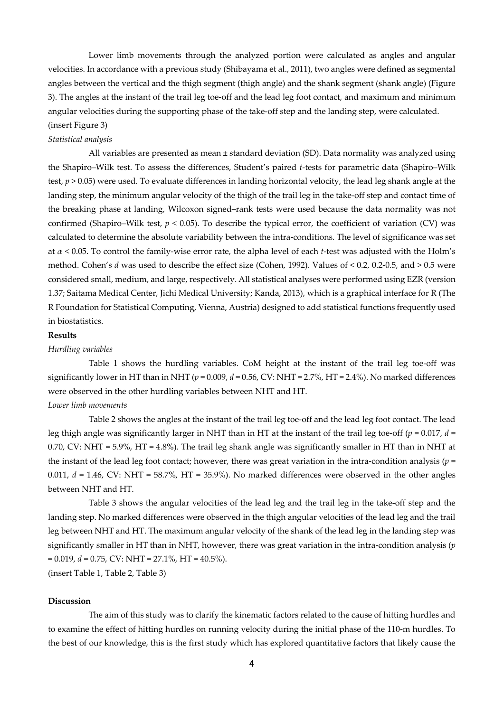Lower limb movements through the analyzed portion were calculated as angles and angular velocities. In accordance with a previous study (Shibayama et al., 2011), two angles were defined as segmental angles between the vertical and the thigh segment (thigh angle) and the shank segment (shank angle) (Figure 3). The angles at the instant of the trail leg toe-off and the lead leg foot contact, and maximum and minimum angular velocities during the supporting phase of the take-off step and the landing step, were calculated. (insert Figure 3)

#### *Statistical analysis*

All variables are presented as mean ± standard deviation (SD). Data normality was analyzed using the Shapiro–Wilk test. To assess the differences, Student's paired *t*-tests for parametric data (Shapiro–Wilk test, *p* > 0.05) were used. To evaluate differences in landing horizontal velocity, the lead leg shank angle at the landing step, the minimum angular velocity of the thigh of the trail leg in the take-off step and contact time of the breaking phase at landing, Wilcoxon signed–rank tests were used because the data normality was not confirmed (Shapiro–Wilk test,  $p < 0.05$ ). To describe the typical error, the coefficient of variation (CV) was calculated to determine the absolute variability between the intra-conditions. The level of significance was set at *α* < 0.05. To control the family-wise error rate, the alpha level of each *t*-test was adjusted with the Holm's method. Cohen's *d* was used to describe the effect size (Cohen, 1992). Values of < 0.2, 0.2-0.5, and > 0.5 were considered small, medium, and large, respectively. All statistical analyses were performed using EZR (version 1.37; Saitama Medical Center, Jichi Medical University; Kanda, 2013), which is a graphical interface for R (The R Foundation for Statistical Computing, Vienna, Austria) designed to add statistical functions frequently used in biostatistics.

#### **Results**

#### *Hurdling variables*

Table 1 shows the hurdling variables. CoM height at the instant of the trail leg toe-off was significantly lower in HT than in NHT ( $p = 0.009$ ,  $d = 0.56$ , CV: NHT = 2.7%, HT = 2.4%). No marked differences were observed in the other hurdling variables between NHT and HT.

#### *Lower limb movements*

 Table 2 shows the angles at the instant of the trail leg toe-off and the lead leg foot contact. The lead leg thigh angle was significantly larger in NHT than in HT at the instant of the trail leg toe-off ( $p = 0.017$ ,  $d =$ 0.70, CV: NHT = 5.9%, HT = 4.8%). The trail leg shank angle was significantly smaller in HT than in NHT at the instant of the lead leg foot contact; however, there was great variation in the intra-condition analysis  $(p =$ 0.011,  $d = 1.46$ , CV: NHT = 58.7%, HT = 35.9%). No marked differences were observed in the other angles between NHT and HT.

 Table 3 shows the angular velocities of the lead leg and the trail leg in the take-off step and the landing step. No marked differences were observed in the thigh angular velocities of the lead leg and the trail leg between NHT and HT. The maximum angular velocity of the shank of the lead leg in the landing step was significantly smaller in HT than in NHT, however, there was great variation in the intra-condition analysis (*p* = 0.019, *d* = 0.75, CV: NHT = 27.1%, HT = 40.5%).

(insert Table 1, Table 2, Table 3)

#### **Discussion**

The aim of this study was to clarify the kinematic factors related to the cause of hitting hurdles and to examine the effect of hitting hurdles on running velocity during the initial phase of the 110-m hurdles. To the best of our knowledge, this is the first study which has explored quantitative factors that likely cause the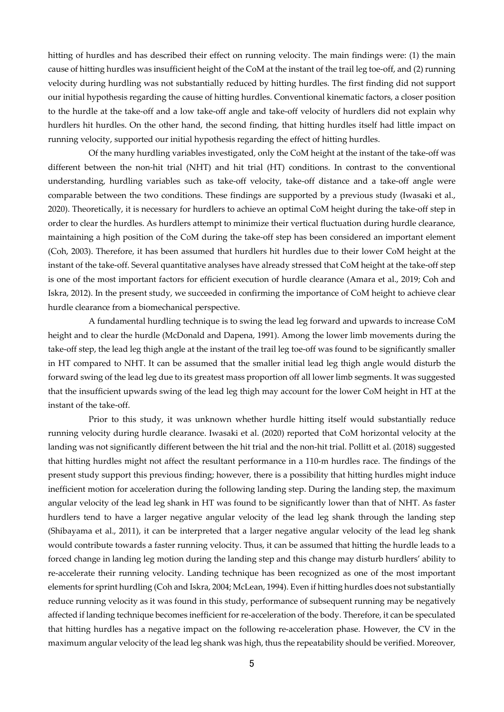hitting of hurdles and has described their effect on running velocity. The main findings were: (1) the main cause of hitting hurdles was insufficient height of the CoM at the instant of the trail leg toe-off, and (2) running velocity during hurdling was not substantially reduced by hitting hurdles. The first finding did not support our initial hypothesis regarding the cause of hitting hurdles. Conventional kinematic factors, a closer position to the hurdle at the take-off and a low take-off angle and take-off velocity of hurdlers did not explain why hurdlers hit hurdles. On the other hand, the second finding, that hitting hurdles itself had little impact on running velocity, supported our initial hypothesis regarding the effect of hitting hurdles.

Of the many hurdling variables investigated, only the CoM height at the instant of the take-off was different between the non-hit trial (NHT) and hit trial (HT) conditions. In contrast to the conventional understanding, hurdling variables such as take-off velocity, take-off distance and a take-off angle were comparable between the two conditions. These findings are supported by a previous study (Iwasaki et al., 2020). Theoretically, it is necessary for hurdlers to achieve an optimal CoM height during the take-off step in order to clear the hurdles. As hurdlers attempt to minimize their vertical fluctuation during hurdle clearance, maintaining a high position of the CoM during the take-off step has been considered an important element (Coh, 2003). Therefore, it has been assumed that hurdlers hit hurdles due to their lower CoM height at the instant of the take-off. Several quantitative analyses have already stressed that CoM height at the take-off step is one of the most important factors for efficient execution of hurdle clearance (Amara et al., 2019; Coh and Iskra, 2012). In the present study, we succeeded in confirming the importance of CoM height to achieve clear hurdle clearance from a biomechanical perspective.

A fundamental hurdling technique is to swing the lead leg forward and upwards to increase CoM height and to clear the hurdle (McDonald and Dapena, 1991). Among the lower limb movements during the take-off step, the lead leg thigh angle at the instant of the trail leg toe-off was found to be significantly smaller in HT compared to NHT. It can be assumed that the smaller initial lead leg thigh angle would disturb the forward swing of the lead leg due to its greatest mass proportion off all lower limb segments. It was suggested that the insufficient upwards swing of the lead leg thigh may account for the lower CoM height in HT at the instant of the take-off.

Prior to this study, it was unknown whether hurdle hitting itself would substantially reduce running velocity during hurdle clearance. Iwasaki et al. (2020) reported that CoM horizontal velocity at the landing was not significantly different between the hit trial and the non-hit trial. Pollitt et al. (2018) suggested that hitting hurdles might not affect the resultant performance in a 110-m hurdles race. The findings of the present study support this previous finding; however, there is a possibility that hitting hurdles might induce inefficient motion for acceleration during the following landing step. During the landing step, the maximum angular velocity of the lead leg shank in HT was found to be significantly lower than that of NHT. As faster hurdlers tend to have a larger negative angular velocity of the lead leg shank through the landing step (Shibayama et al., 2011), it can be interpreted that a larger negative angular velocity of the lead leg shank would contribute towards a faster running velocity. Thus, it can be assumed that hitting the hurdle leads to a forced change in landing leg motion during the landing step and this change may disturb hurdlers' ability to re-accelerate their running velocity. Landing technique has been recognized as one of the most important elements for sprint hurdling (Coh and Iskra, 2004; McLean, 1994). Even if hitting hurdles does not substantially reduce running velocity as it was found in this study, performance of subsequent running may be negatively affected if landing technique becomes inefficient for re-acceleration of the body. Therefore, it can be speculated that hitting hurdles has a negative impact on the following re-acceleration phase. However, the CV in the maximum angular velocity of the lead leg shank was high, thus the repeatability should be verified. Moreover,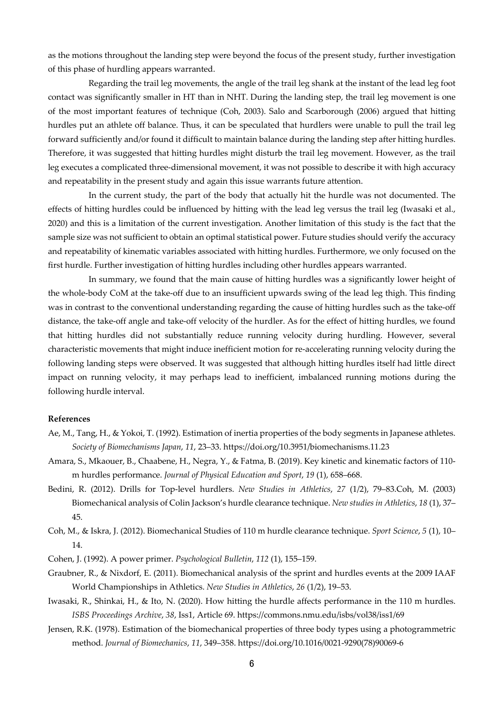as the motions throughout the landing step were beyond the focus of the present study, further investigation of this phase of hurdling appears warranted.

Regarding the trail leg movements, the angle of the trail leg shank at the instant of the lead leg foot contact was significantly smaller in HT than in NHT. During the landing step, the trail leg movement is one of the most important features of technique (Coh, 2003). Salo and Scarborough (2006) argued that hitting hurdles put an athlete off balance. Thus, it can be speculated that hurdlers were unable to pull the trail leg forward sufficiently and/or found it difficult to maintain balance during the landing step after hitting hurdles. Therefore, it was suggested that hitting hurdles might disturb the trail leg movement. However, as the trail leg executes a complicated three-dimensional movement, it was not possible to describe it with high accuracy and repeatability in the present study and again this issue warrants future attention.

In the current study, the part of the body that actually hit the hurdle was not documented. The effects of hitting hurdles could be influenced by hitting with the lead leg versus the trail leg (Iwasaki et al., 2020) and this is a limitation of the current investigation. Another limitation of this study is the fact that the sample size was not sufficient to obtain an optimal statistical power. Future studies should verify the accuracy and repeatability of kinematic variables associated with hitting hurdles. Furthermore, we only focused on the first hurdle. Further investigation of hitting hurdles including other hurdles appears warranted.

In summary, we found that the main cause of hitting hurdles was a significantly lower height of the whole-body CoM at the take-off due to an insufficient upwards swing of the lead leg thigh. This finding was in contrast to the conventional understanding regarding the cause of hitting hurdles such as the take-off distance, the take-off angle and take-off velocity of the hurdler. As for the effect of hitting hurdles, we found that hitting hurdles did not substantially reduce running velocity during hurdling. However, several characteristic movements that might induce inefficient motion for re-accelerating running velocity during the following landing steps were observed. It was suggested that although hitting hurdles itself had little direct impact on running velocity, it may perhaps lead to inefficient, imbalanced running motions during the following hurdle interval.

#### **References**

- Ae, M., Tang, H., & Yokoi, T. (1992). Estimation of inertia properties of the body segments in Japanese athletes. *Society of Biomechanisms Japan*, *11*, 23–33. https://doi.org/10.3951/biomechanisms.11.23
- Amara, S., Mkaouer, B., Chaabene, H., Negra, Y., & Fatma, B. (2019). Key kinetic and kinematic factors of 110 m hurdles performance. *Journal of Physical Education and Sport*, *19* (1), 658–668.
- Bedini, R. (2012). Drills for Top-level hurdlers. *New Studies in Athletics*, *27* (1/2), 79–83.Coh, M. (2003) Biomechanical analysis of Colin Jackson's hurdle clearance technique. *New studies in Athletics*, *18* (1), 37– 45.
- Coh, M., & Iskra, J. (2012). Biomechanical Studies of 110 m hurdle clearance technique. *Sport Science*, *5* (1), 10– 14.

Cohen, J. (1992). A power primer. *Psychological Bulletin*, *112* (1), 155–159.

- Graubner, R., & Nixdorf, E. (2011). Biomechanical analysis of the sprint and hurdles events at the 2009 IAAF World Championships in Athletics. *New Studies in Athletics*, *26* (1/2), 19–53.
- Iwasaki, R., Shinkai, H., & Ito, N. (2020). How hitting the hurdle affects performance in the 110 m hurdles. *ISBS Proceedings Archive*, *38*, Iss1, Article 69. https://commons.nmu.edu/isbs/vol38/iss1/69
- Jensen, R.K. (1978). Estimation of the biomechanical properties of three body types using a photogrammetric method. *Journal of Biomechanics*, *11*, 349–358. https://doi.org/10.1016/0021-9290(78)90069-6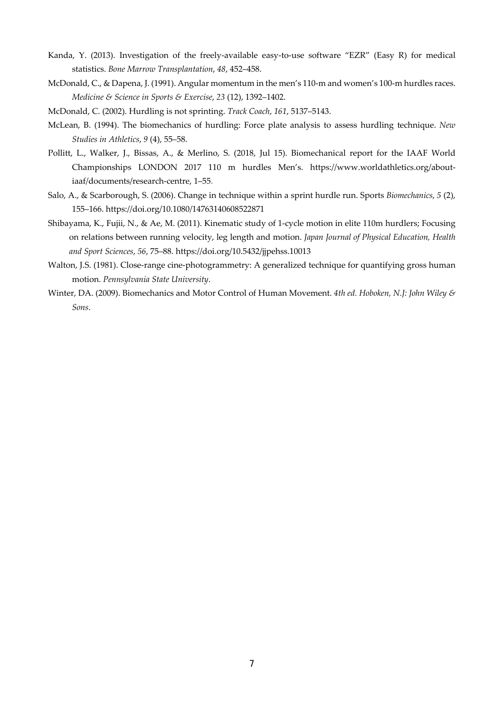- Kanda, Y. (2013). Investigation of the freely-available easy-to-use software "EZR" (Easy R) for medical statistics. *Bone Marrow Transplantation*, *48*, 452–458.
- McDonald, C., & Dapena, J. (1991). Angular momentum in the men's 110-m and women's 100-m hurdles races. *Medicine & Science in Sports & Exercise*, *23* (12), 1392–1402.
- McDonald, C. (2002). Hurdling is not sprinting. *Track Coach*, *161*, 5137–5143.
- McLean, B. (1994). The biomechanics of hurdling: Force plate analysis to assess hurdling technique. *New Studies in Athletics*, *9* (4), 55–58.
- Pollitt, L., Walker, J., Bissas, A., & Merlino, S. (2018, Jul 15). Biomechanical report for the IAAF World Championships LONDON 2017 110 m hurdles Men's. https://www.worldathletics.org/aboutiaaf/documents/research-centre, 1–55.
- Salo, A., & Scarborough, S. (2006). Change in technique within a sprint hurdle run. Sports *Biomechanics*, *5* (2), 155–166. https://doi.org/10.1080/14763140608522871
- Shibayama, K., Fujii, N., & Ae, M. (2011). Kinematic study of 1-cycle motion in elite 110m hurdlers; Focusing on relations between running velocity, leg length and motion. *Japan Journal of Physical Education, Health and Sport Sciences*, *56*, 75–88. https://doi.org/10.5432/jjpehss.10013
- Walton, J.S. (1981). Close-range cine-photogrammetry: A generalized technique for quantifying gross human motion. *Pennsylvania State University*.
- Winter, DA. (2009). Biomechanics and Motor Control of Human Movement. *4th ed. Hoboken, N.J: John Wiley & Sons*.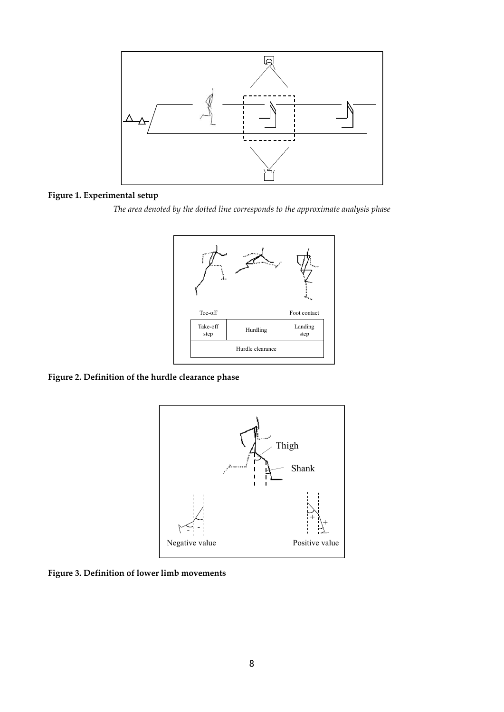

#### **Figure 1. Experimental setup**

*The area denoted by the dotted line corresponds to the approximate analysis phase* 



# **Figure 2. Definition of the hurdle clearance phase**



**Figure 3. Definition of lower limb movements**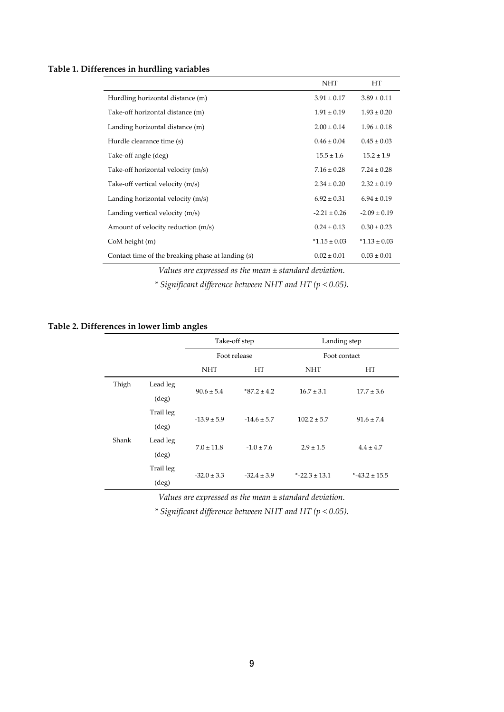#### **Table 1. Differences in hurdling variables**

|                                                   | <b>NHT</b>       | HT               |
|---------------------------------------------------|------------------|------------------|
| Hurdling horizontal distance (m)                  | $3.91 \pm 0.17$  | $3.89 \pm 0.11$  |
| Take-off horizontal distance (m)                  | $1.91 \pm 0.19$  | $1.93 \pm 0.20$  |
| Landing horizontal distance (m)                   | $2.00 \pm 0.14$  | $1.96 \pm 0.18$  |
| Hurdle clearance time (s)                         | $0.46 \pm 0.04$  | $0.45 \pm 0.03$  |
| Take-off angle (deg)                              | $15.5 \pm 1.6$   | $15.2 \pm 1.9$   |
| Take-off horizontal velocity (m/s)                | $7.16 \pm 0.28$  | $7.24 \pm 0.28$  |
| Take-off vertical velocity (m/s)                  | $2.34 \pm 0.20$  | $2.32 \pm 0.19$  |
| Landing horizontal velocity (m/s)                 | $6.92 \pm 0.31$  | $6.94 \pm 0.19$  |
| Landing vertical velocity (m/s)                   | $-2.21 \pm 0.26$ | $-2.09 \pm 0.19$ |
| Amount of velocity reduction (m/s)                | $0.24 \pm 0.13$  | $0.30 \pm 0.23$  |
| CoM height (m)                                    | $*1.15 \pm 0.03$ | $*1.13 \pm 0.03$ |
| Contact time of the breaking phase at landing (s) | $0.02 \pm 0.01$  | $0.03 \pm 0.01$  |

*Values are expressed as the mean ± standard deviation.* 

*\* Significant difference between NHT and HT (p < 0.05).* 

#### **Table 2. Differences in lower limb angles**

|       |                | Take-off step   |                  | Landing step     |                  |  |
|-------|----------------|-----------------|------------------|------------------|------------------|--|
|       |                | Foot release    |                  | Foot contact     |                  |  |
|       |                | <b>NHT</b>      | HT<br><b>NHT</b> |                  | HT               |  |
| Thigh | Lead leg       | $90.6 \pm 5.4$  | $*87.2 \pm 4.2$  | $16.7 \pm 3.1$   | $17.7 \pm 3.6$   |  |
|       | $(\text{deg})$ |                 |                  |                  |                  |  |
|       | Trail leg      | $-13.9 \pm 5.9$ | $-14.6 \pm 5.7$  | $102.2 \pm 5.7$  | $91.6 \pm 7.4$   |  |
|       | $(\text{deg})$ |                 |                  |                  |                  |  |
| Shank | Lead leg       | $7.0 \pm 11.8$  | $-1.0 \pm 7.6$   | $2.9 \pm 1.5$    | $4.4 \pm 4.7$    |  |
|       | $(\text{deg})$ |                 |                  |                  |                  |  |
|       | Trail leg      | $-32.0 \pm 3.3$ | $-32.4 \pm 3.9$  | $*$ -22.3 ± 13.1 | $*$ -43.2 ± 15.5 |  |
|       | (deg)          |                 |                  |                  |                  |  |

*Values are expressed as the mean ± standard deviation.* 

*\* Significant difference between NHT and HT (p < 0.05).*